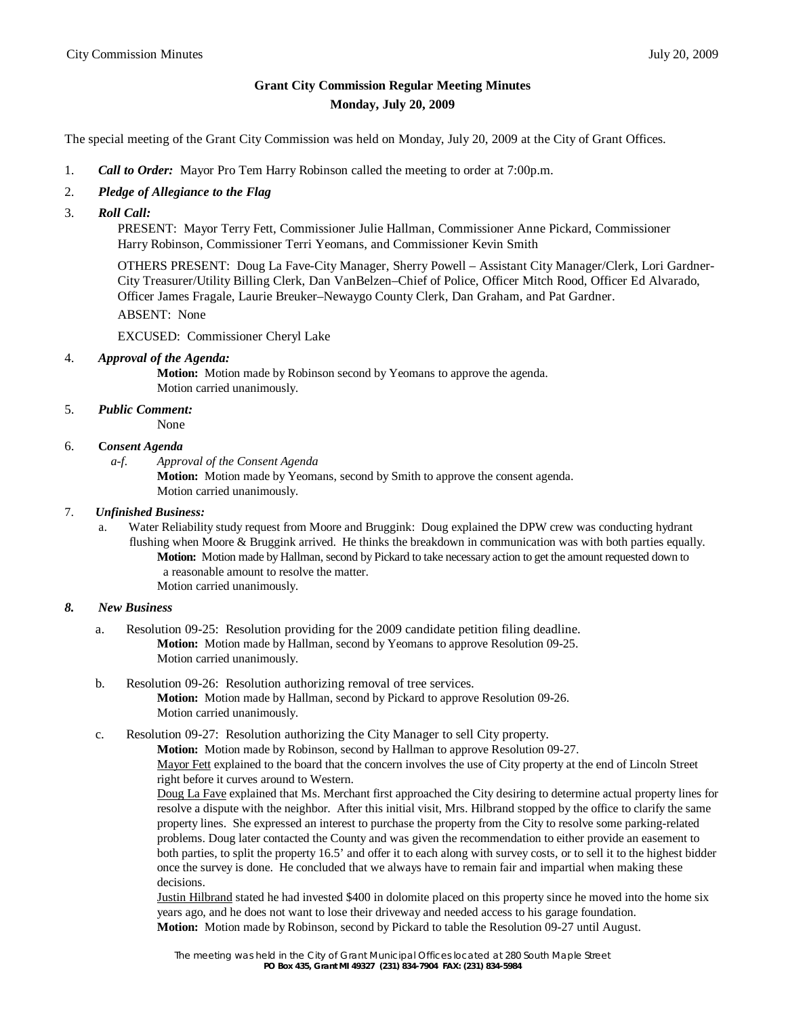# **Grant City Commission Regular Meeting Minutes Monday, July 20, 2009**

The special meeting of the Grant City Commission was held on Monday, July 20, 2009 at the City of Grant Offices.

- 1. *Call to Order:* Mayor Pro Tem Harry Robinson called the meeting to order at 7:00p.m.
- 2. *Pledge of Allegiance to the Flag*
- 3. *Roll Call:*

 PRESENT: Mayor Terry Fett, Commissioner Julie Hallman, Commissioner Anne Pickard, Commissioner Harry Robinson, Commissioner Terri Yeomans, and Commissioner Kevin Smith

 OTHERS PRESENT: Doug La Fave-City Manager, Sherry Powell – Assistant City Manager/Clerk, Lori Gardner- City Treasurer/Utility Billing Clerk, Dan VanBelzen–Chief of Police, Officer Mitch Rood, Officer Ed Alvarado, Officer James Fragale, Laurie Breuker–Newaygo County Clerk, Dan Graham, and Pat Gardner.

ABSENT: None

EXCUSED: Commissioner Cheryl Lake

4. *Approval of the Agenda:* 

**Motion:** Motion made by Robinson second by Yeomans to approve the agenda. Motion carried unanimously.

5. *Public Comment:*

None

### 6. **C***onsent Agenda*

*a-f. Approval of the Consent Agenda*

**Motion:** Motion made by Yeomans, second by Smith to approve the consent agenda. Motion carried unanimously.

#### 7. *Unfinished Business:*

 a. Water Reliability study request from Moore and Bruggink: Doug explained the DPW crew was conducting hydrant flushing when Moore & Bruggink arrived. He thinks the breakdown in communication was with both parties equally. **Motion:** Motion made by Hallman, second by Pickard to take necessary action to get the amount requested down to a reasonable amount to resolve the matter. Motion carried unanimously.

### *8. New Business*

- a. Resolution 09-25: Resolution providing for the 2009 candidate petition filing deadline. **Motion:** Motion made by Hallman, second by Yeomans to approve Resolution 09-25. Motion carried unanimously.
- b. Resolution 09-26: Resolution authorizing removal of tree services. **Motion:** Motion made by Hallman, second by Pickard to approve Resolution 09-26. Motion carried unanimously.
- c. Resolution 09-27: Resolution authorizing the City Manager to sell City property.

**Motion:** Motion made by Robinson, second by Hallman to approve Resolution 09-27.

Mayor Fett explained to the board that the concern involves the use of City property at the end of Lincoln Street right before it curves around to Western.

Doug La Fave explained that Ms. Merchant first approached the City desiring to determine actual property lines for resolve a dispute with the neighbor. After this initial visit, Mrs. Hilbrand stopped by the office to clarify the same property lines. She expressed an interest to purchase the property from the City to resolve some parking-related problems. Doug later contacted the County and was given the recommendation to either provide an easement to both parties, to split the property 16.5' and offer it to each along with survey costs, or to sell it to the highest bidder once the survey is done. He concluded that we always have to remain fair and impartial when making these decisions.

Justin Hilbrand stated he had invested \$400 in dolomite placed on this property since he moved into the home six years ago, and he does not want to lose their driveway and needed access to his garage foundation. **Motion:** Motion made by Robinson, second by Pickard to table the Resolution 09-27 until August.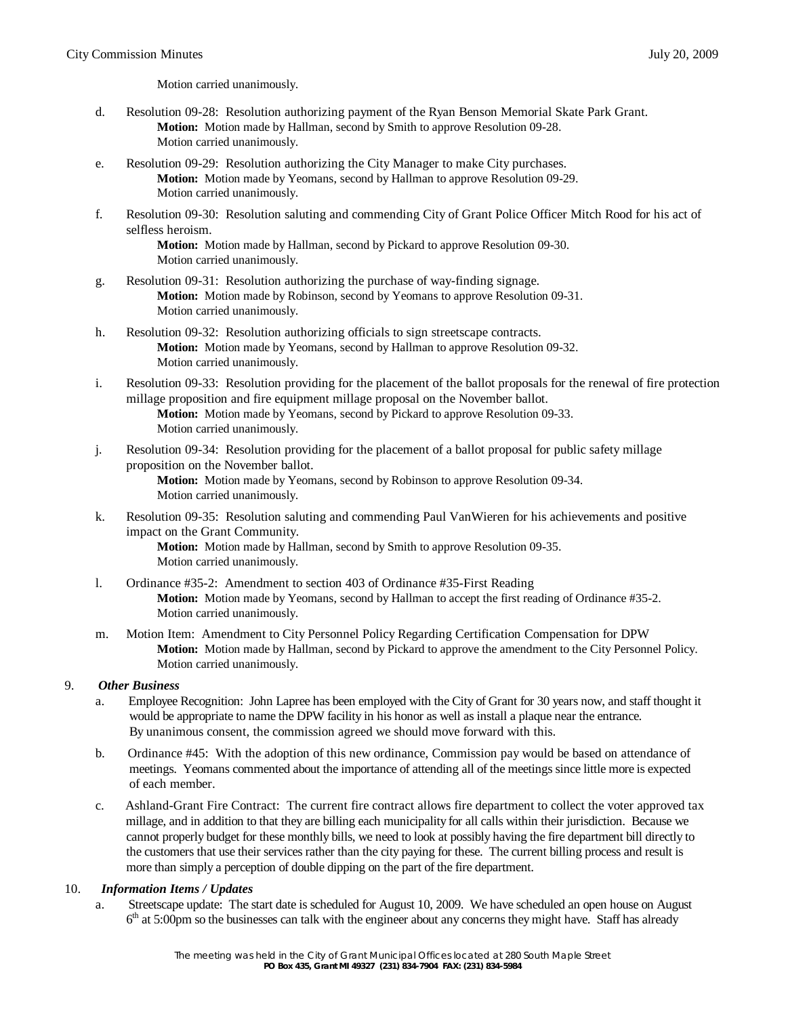Motion carried unanimously.

- d. Resolution 09-28: Resolution authorizing payment of the Ryan Benson Memorial Skate Park Grant. **Motion:** Motion made by Hallman, second by Smith to approve Resolution 09-28. Motion carried unanimously.
- e. Resolution 09-29: Resolution authorizing the City Manager to make City purchases. **Motion:** Motion made by Yeomans, second by Hallman to approve Resolution 09-29. Motion carried unanimously.
- f. Resolution 09-30: Resolution saluting and commending City of Grant Police Officer Mitch Rood for his act of selfless heroism.

**Motion:** Motion made by Hallman, second by Pickard to approve Resolution 09-30. Motion carried unanimously.

- g. Resolution 09-31: Resolution authorizing the purchase of way-finding signage. **Motion:** Motion made by Robinson, second by Yeomans to approve Resolution 09-31. Motion carried unanimously.
- h. Resolution 09-32: Resolution authorizing officials to sign streetscape contracts. **Motion:** Motion made by Yeomans, second by Hallman to approve Resolution 09-32. Motion carried unanimously.
- i. Resolution 09-33: Resolution providing for the placement of the ballot proposals for the renewal of fire protection millage proposition and fire equipment millage proposal on the November ballot. **Motion:** Motion made by Yeomans, second by Pickard to approve Resolution 09-33. Motion carried unanimously.
- j. Resolution 09-34: Resolution providing for the placement of a ballot proposal for public safety millage proposition on the November ballot. **Motion:** Motion made by Yeomans, second by Robinson to approve Resolution 09-34. Motion carried unanimously.
- k. Resolution 09-35: Resolution saluting and commending Paul VanWieren for his achievements and positive impact on the Grant Community.

**Motion:** Motion made by Hallman, second by Smith to approve Resolution 09-35. Motion carried unanimously.

- l. Ordinance #35-2: Amendment to section 403 of Ordinance #35-First Reading **Motion:** Motion made by Yeomans, second by Hallman to accept the first reading of Ordinance #35-2. Motion carried unanimously.
- m. Motion Item: Amendment to City Personnel Policy Regarding Certification Compensation for DPW **Motion:** Motion made by Hallman, second by Pickard to approve the amendment to the City Personnel Policy. Motion carried unanimously.

### 9. *Other Business*

- a. Employee Recognition: John Lapree has been employed with the City of Grant for 30 years now, and staff thought it would be appropriate to name the DPW facility in his honor as well as install a plaque near the entrance. By unanimous consent, the commission agreed we should move forward with this.
- b. Ordinance #45: With the adoption of this new ordinance, Commission pay would be based on attendance of meetings. Yeomans commented about the importance of attending all of the meetings since little more is expected of each member.
- c. Ashland-Grant Fire Contract: The current fire contract allows fire department to collect the voter approved tax millage, and in addition to that they are billing each municipality for all calls within their jurisdiction. Because we cannot properly budget for these monthly bills, we need to look at possibly having the fire department bill directly to the customers that use their services rather than the city paying for these. The current billing process and result is more than simply a perception of double dipping on the part of the fire department.

### 10. *Information Items / Updates*

a. Streetscape update: The start date is scheduled for August 10, 2009. We have scheduled an open house on August 6<sup>th</sup> at 5:00pm so the businesses can talk with the engineer about any concerns they might have. Staff has already